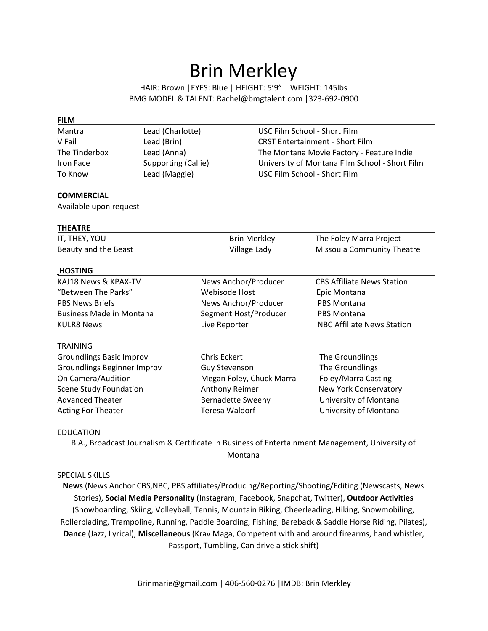## Brin Merkley

HAIR: Brown |EYES: Blue | HEIGHT: 5'9" | WEIGHT: 145lbs BMG MODEL & TALENT: Rachel@bmgtalent.com |323-692-0900

| <b>FILM</b>            |                     |                     |                                                |  |
|------------------------|---------------------|---------------------|------------------------------------------------|--|
| Mantra                 | Lead (Charlotte)    |                     | USC Film School - Short Film                   |  |
| V Fail                 | Lead (Brin)         |                     | <b>CRST Entertainment - Short Film</b>         |  |
| The Tinderbox          | Lead (Anna)         |                     | The Montana Movie Factory - Feature Indie      |  |
| Iron Face              | Supporting (Callie) |                     | University of Montana Film School - Short Film |  |
| To Know                | Lead (Maggie)       |                     | USC Film School - Short Film                   |  |
| <b>COMMERCIAL</b>      |                     |                     |                                                |  |
| Available upon request |                     |                     |                                                |  |
| <b>THEATRE</b>         |                     |                     |                                                |  |
| IT. THEY. YOU          |                     | <b>Brin Merkley</b> | The Foley Marra Project                        |  |

| Beauty and the Beast            | Village Lady             | <b>Missoula Community Theatre</b> |
|---------------------------------|--------------------------|-----------------------------------|
| <b>HOSTING</b>                  |                          |                                   |
| KAJ18 News & KPAX-TV            | News Anchor/Producer     | <b>CBS Affiliate News Station</b> |
| "Between The Parks"             | Webisode Host            | Epic Montana                      |
| <b>PBS News Briefs</b>          | News Anchor/Producer     | <b>PBS Montana</b>                |
| <b>Business Made in Montana</b> | Segment Host/Producer    | <b>PBS Montana</b>                |
| <b>KULR8 News</b>               | Live Reporter            | NBC Affiliate News Station        |
| <b>TRAINING</b>                 |                          |                                   |
| <b>Groundlings Basic Improv</b> | Chris Eckert             | The Groundlings                   |
| Groundlings Beginner Improv     | <b>Guy Stevenson</b>     | The Groundlings                   |
| On Camera/Audition              | Megan Foley, Chuck Marra | Foley/Marra Casting               |
| <b>Scene Study Foundation</b>   | Anthony Reimer           | New York Conservatory             |
| <b>Advanced Theater</b>         | <b>Bernadette Sweeny</b> | University of Montana             |
| <b>Acting For Theater</b>       | Teresa Waldorf           | University of Montana             |

## EDUCATION

B.A., Broadcast Journalism & Certificate in Business of Entertainment Management, University of Montana

## SPECIAL SKILLS

**News** (News Anchor CBS,NBC, PBS affiliates/Producing/Reporting/Shooting/Editing (Newscasts, News Stories), **Social Media Personality** (Instagram, Facebook, Snapchat, Twitter), **Outdoor Activities** (Snowboarding, Skiing, Volleyball, Tennis, Mountain Biking, Cheerleading, Hiking, Snowmobiling, Rollerblading, Trampoline, Running, Paddle Boarding, Fishing, Bareback & Saddle Horse Riding, Pilates), **Dance** (Jazz, Lyrical), **Miscellaneous** (Krav Maga, Competent with and around firearms, hand whistler, Passport, Tumbling, Can drive a stick shift)